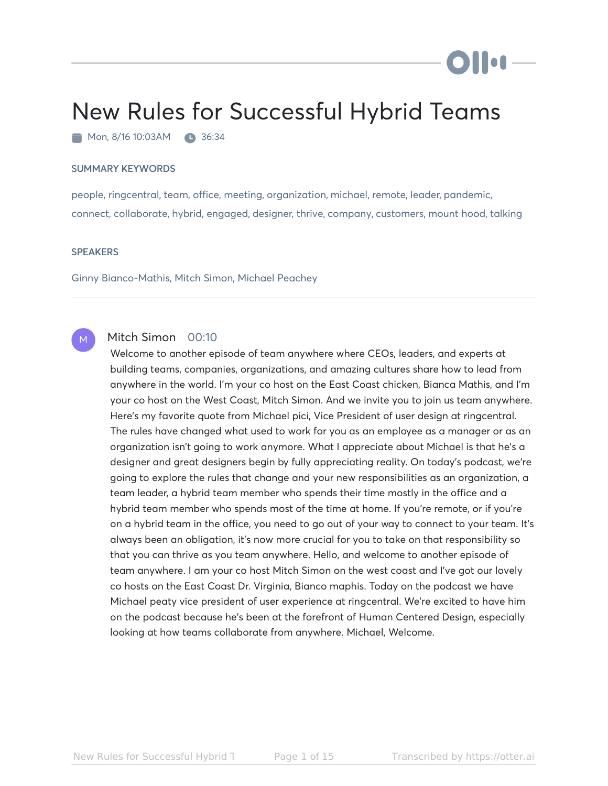# New Rules for Successful Hybrid Teams

Mon, 8/16 10:03AM 36:34

#### SUMMARY KEYWORDS

people, ringcentral, team, office, meeting, organization, michael, remote, leader, pandemic, connect, collaborate, hybrid, engaged, designer, thrive, company, customers, mount hood, talking

#### **SPEAKERS**

M

Ginny Bianco-Mathis, Mitch Simon, Michael Peachey

# Mitch Simon 00:10

Welcome to another episode of team anywhere where CEOs, leaders, and experts at building teams, companies, organizations, and amazing cultures share how to lead from anywhere in the world. I'm your co host on the East Coast chicken, Bianca Mathis, and I'm your co host on the West Coast, Mitch Simon. And we invite you to join us team anywhere. Here's my favorite quote from Michael pici, Vice President of user design at ringcentral. The rules have changed what used to work for you as an employee as a manager or as an organization isn't going to work anymore. What I appreciate about Michael is that he's a designer and great designers begin by fully appreciating reality. On today's podcast, we're going to explore the rules that change and your new responsibilities as an organization, a team leader, a hybrid team member who spends their time mostly in the office and a hybrid team member who spends most of the time at home. If you're remote, or if you're on a hybrid team in the office, you need to go out of your way to connect to your team. It's always been an obligation, it's now more crucial for you to take on that responsibility so that you can thrive as you team anywhere. Hello, and welcome to another episode of team anywhere. I am your co host Mitch Simon on the west coast and I've got our lovely co hosts on the East Coast Dr. Virginia, Bianco maphis. Today on the podcast we have Michael peaty vice president of user experience at ringcentral. We're excited to have him on the podcast because he's been at the forefront of Human Centered Design, especially looking at how teams collaborate from anywhere. Michael, Welcome.

DII: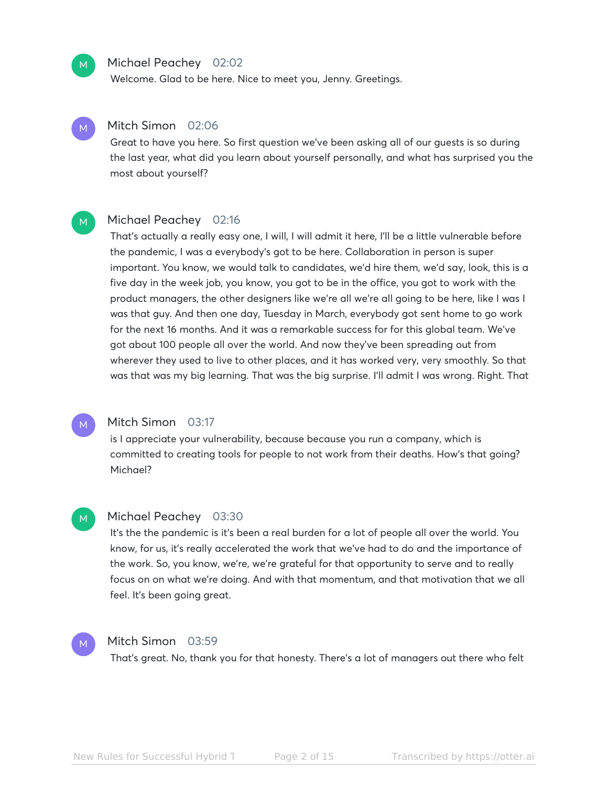

# Michael Peachey 02:02

Welcome. Glad to be here. Nice to meet you, Jenny. Greetings.



# Mitch Simon 02:06

Great to have you here. So first question we've been asking all of our guests is so during the last year, what did you learn about yourself personally, and what has surprised you the most about yourself?

#### Michael Peachey 02:16 M

That's actually a really easy one, I will, I will admit it here, I'll be a little vulnerable before the pandemic, I was a everybody's got to be here. Collaboration in person is super important. You know, we would talk to candidates, we'd hire them, we'd say, look, this is a five day in the week job, you know, you got to be in the office, you got to work with the product managers, the other designers like we're all we're all going to be here, like I was I was that guy. And then one day, Tuesday in March, everybody got sent home to go work for the next 16 months. And it was a remarkable success for for this global team. We've got about 100 people all over the world. And now they've been spreading out from wherever they used to live to other places, and it has worked very, very smoothly. So that was that was my big learning. That was the big surprise. I'll admit I was wrong. Right. That



M

### Mitch Simon 03:17

is I appreciate your vulnerability, because because you run a company, which is committed to creating tools for people to not work from their deaths. How's that going? Michael?

#### Michael Peachey 03:30 M

It's the the pandemic is it's been a real burden for a lot of people all over the world. You know, for us, it's really accelerated the work that we've had to do and the importance of the work. So, you know, we're, we're grateful for that opportunity to serve and to really focus on on what we're doing. And with that momentum, and that motivation that we all feel. It's been going great.

# Mitch Simon 03:59

That's great. No, thank you for that honesty. There's a lot of managers out there who felt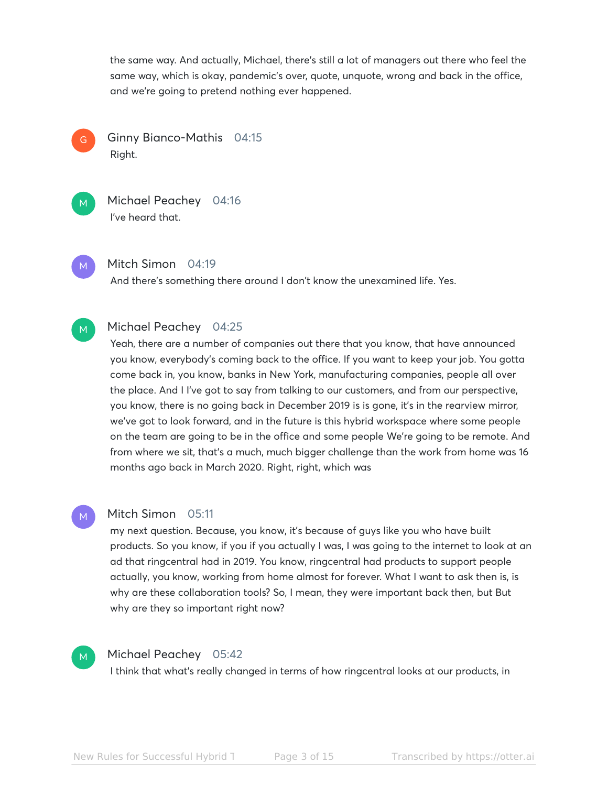the same way. And actually, Michael, there's still a lot of managers out there who feel the same way, which is okay, pandemic's over, quote, unquote, wrong and back in the office, and we're going to pretend nothing ever happened.

Ginny Bianco-Mathis 04:15 Right. G



Michael Peachey 04:16 I've heard that.

M

Mitch Simon 04:19

And there's something there around I don't know the unexamined life. Yes.

#### Michael Peachey 04:25 M

Yeah, there are a number of companies out there that you know, that have announced you know, everybody's coming back to the office. If you want to keep your job. You gotta come back in, you know, banks in New York, manufacturing companies, people all over the place. And I I've got to say from talking to our customers, and from our perspective, you know, there is no going back in December 2019 is is gone, it's in the rearview mirror, we've got to look forward, and in the future is this hybrid workspace where some people on the team are going to be in the office and some people We're going to be remote. And from where we sit, that's a much, much bigger challenge than the work from home was 16 months ago back in March 2020. Right, right, which was

# M

# Mitch Simon 05:11

my next question. Because, you know, it's because of guys like you who have built products. So you know, if you if you actually I was, I was going to the internet to look at an ad that ringcentral had in 2019. You know, ringcentral had products to support people actually, you know, working from home almost for forever. What I want to ask then is, is why are these collaboration tools? So, I mean, they were important back then, but But why are they so important right now?



# Michael Peachey 05:42

I think that what's really changed in terms of how ringcentral looks at our products, in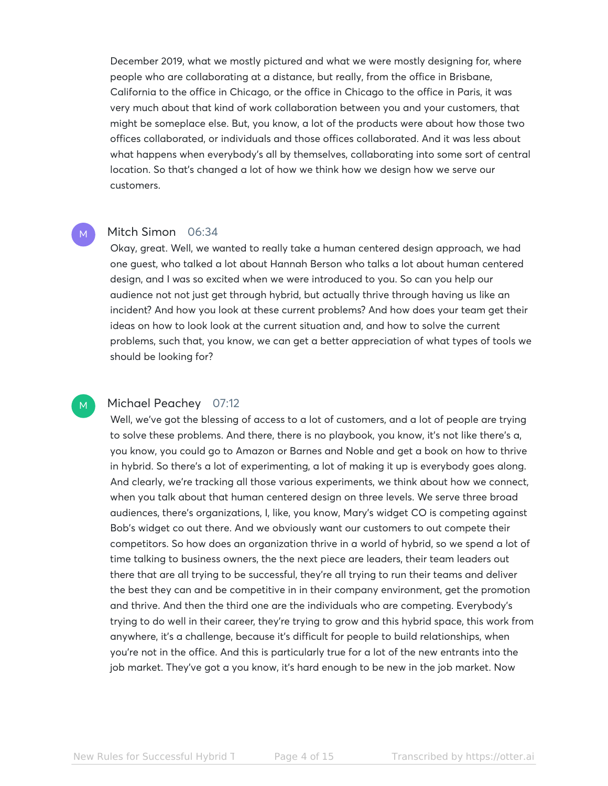December 2019, what we mostly pictured and what we were mostly designing for, where people who are collaborating at a distance, but really, from the office in Brisbane, California to the office in Chicago, or the office in Chicago to the office in Paris, it was very much about that kind of work collaboration between you and your customers, that might be someplace else. But, you know, a lot of the products were about how those two offices collaborated, or individuals and those offices collaborated. And it was less about what happens when everybody's all by themselves, collaborating into some sort of central location. So that's changed a lot of how we think how we design how we serve our customers.

### Mitch Simon 06:34

M

M

Okay, great. Well, we wanted to really take a human centered design approach, we had one guest, who talked a lot about Hannah Berson who talks a lot about human centered design, and I was so excited when we were introduced to you. So can you help our audience not not just get through hybrid, but actually thrive through having us like an incident? And how you look at these current problems? And how does your team get their ideas on how to look look at the current situation and, and how to solve the current problems, such that, you know, we can get a better appreciation of what types of tools we should be looking for?

# Michael Peachey 07:12

Well, we've got the blessing of access to a lot of customers, and a lot of people are trying to solve these problems. And there, there is no playbook, you know, it's not like there's a, you know, you could go to Amazon or Barnes and Noble and get a book on how to thrive in hybrid. So there's a lot of experimenting, a lot of making it up is everybody goes along. And clearly, we're tracking all those various experiments, we think about how we connect, when you talk about that human centered design on three levels. We serve three broad audiences, there's organizations, I, like, you know, Mary's widget CO is competing against Bob's widget co out there. And we obviously want our customers to out compete their competitors. So how does an organization thrive in a world of hybrid, so we spend a lot of time talking to business owners, the the next piece are leaders, their team leaders out there that are all trying to be successful, they're all trying to run their teams and deliver the best they can and be competitive in in their company environment, get the promotion and thrive. And then the third one are the individuals who are competing. Everybody's trying to do well in their career, they're trying to grow and this hybrid space, this work from anywhere, it's a challenge, because it's difficult for people to build relationships, when you're not in the office. And this is particularly true for a lot of the new entrants into the job market. They've got a you know, it's hard enough to be new in the job market. Now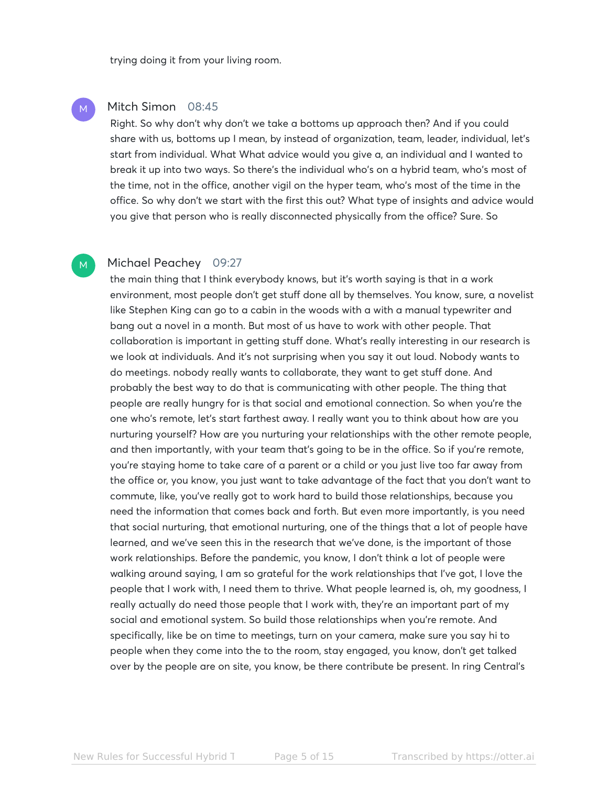trying doing it from your living room.

# Mitch Simon 08:45

M

M

Right. So why don't why don't we take a bottoms up approach then? And if you could share with us, bottoms up I mean, by instead of organization, team, leader, individual, let's start from individual. What What advice would you give a, an individual and I wanted to break it up into two ways. So there's the individual who's on a hybrid team, who's most of the time, not in the office, another vigil on the hyper team, who's most of the time in the office. So why don't we start with the first this out? What type of insights and advice would you give that person who is really disconnected physically from the office? Sure. So

### Michael Peachey 09:27

the main thing that I think everybody knows, but it's worth saying is that in a work environment, most people don't get stuff done all by themselves. You know, sure, a novelist like Stephen King can go to a cabin in the woods with a with a manual typewriter and bang out a novel in a month. But most of us have to work with other people. That collaboration is important in getting stuff done. What's really interesting in our research is we look at individuals. And it's not surprising when you say it out loud. Nobody wants to do meetings. nobody really wants to collaborate, they want to get stuff done. And probably the best way to do that is communicating with other people. The thing that people are really hungry for is that social and emotional connection. So when you're the one who's remote, let's start farthest away. I really want you to think about how are you nurturing yourself? How are you nurturing your relationships with the other remote people, and then importantly, with your team that's going to be in the office. So if you're remote, you're staying home to take care of a parent or a child or you just live too far away from the office or, you know, you just want to take advantage of the fact that you don't want to commute, like, you've really got to work hard to build those relationships, because you need the information that comes back and forth. But even more importantly, is you need that social nurturing, that emotional nurturing, one of the things that a lot of people have learned, and we've seen this in the research that we've done, is the important of those work relationships. Before the pandemic, you know, I don't think a lot of people were walking around saying, I am so grateful for the work relationships that I've got, I love the people that I work with, I need them to thrive. What people learned is, oh, my goodness, I really actually do need those people that I work with, they're an important part of my social and emotional system. So build those relationships when you're remote. And specifically, like be on time to meetings, turn on your camera, make sure you say hi to people when they come into the to the room, stay engaged, you know, don't get talked over by the people are on site, you know, be there contribute be present. In ring Central's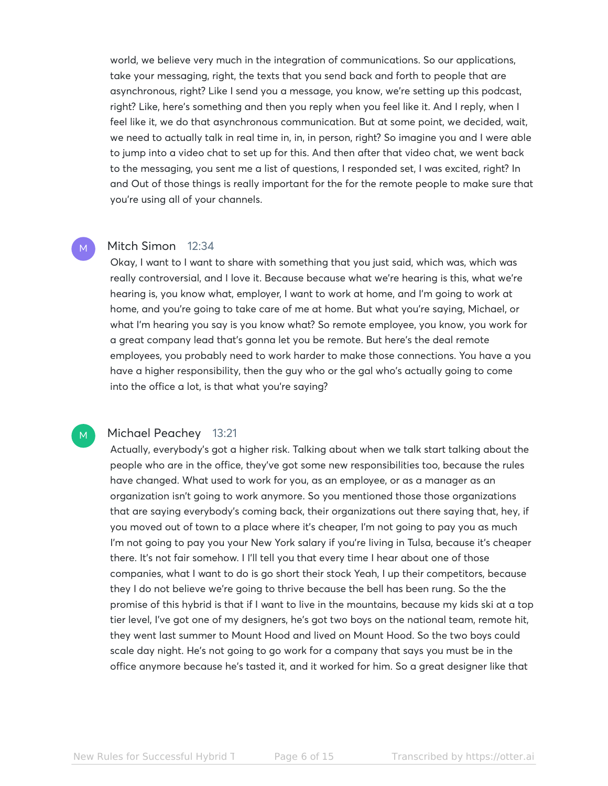world, we believe very much in the integration of communications. So our applications, take your messaging, right, the texts that you send back and forth to people that are asynchronous, right? Like I send you a message, you know, we're setting up this podcast, right? Like, here's something and then you reply when you feel like it. And I reply, when I feel like it, we do that asynchronous communication. But at some point, we decided, wait, we need to actually talk in real time in, in, in person, right? So imagine you and I were able to jump into a video chat to set up for this. And then after that video chat, we went back to the messaging, you sent me a list of questions, I responded set, I was excited, right? In and Out of those things is really important for the for the remote people to make sure that you're using all of your channels.

### Mitch Simon 12:34

M

M

Okay, I want to I want to share with something that you just said, which was, which was really controversial, and I love it. Because because what we're hearing is this, what we're hearing is, you know what, employer, I want to work at home, and I'm going to work at home, and you're going to take care of me at home. But what you're saying, Michael, or what I'm hearing you say is you know what? So remote employee, you know, you work for a great company lead that's gonna let you be remote. But here's the deal remote employees, you probably need to work harder to make those connections. You have a you have a higher responsibility, then the guy who or the gal who's actually going to come into the office a lot, is that what you're saying?

# Michael Peachey 13:21

Actually, everybody's got a higher risk. Talking about when we talk start talking about the people who are in the office, they've got some new responsibilities too, because the rules have changed. What used to work for you, as an employee, or as a manager as an organization isn't going to work anymore. So you mentioned those those organizations that are saying everybody's coming back, their organizations out there saying that, hey, if you moved out of town to a place where it's cheaper, I'm not going to pay you as much I'm not going to pay you your New York salary if you're living in Tulsa, because it's cheaper there. It's not fair somehow. I I'll tell you that every time I hear about one of those companies, what I want to do is go short their stock Yeah, I up their competitors, because they I do not believe we're going to thrive because the bell has been rung. So the the promise of this hybrid is that if I want to live in the mountains, because my kids ski at a top tier level, I've got one of my designers, he's got two boys on the national team, remote hit, they went last summer to Mount Hood and lived on Mount Hood. So the two boys could scale day night. He's not going to go work for a company that says you must be in the office anymore because he's tasted it, and it worked for him. So a great designer like that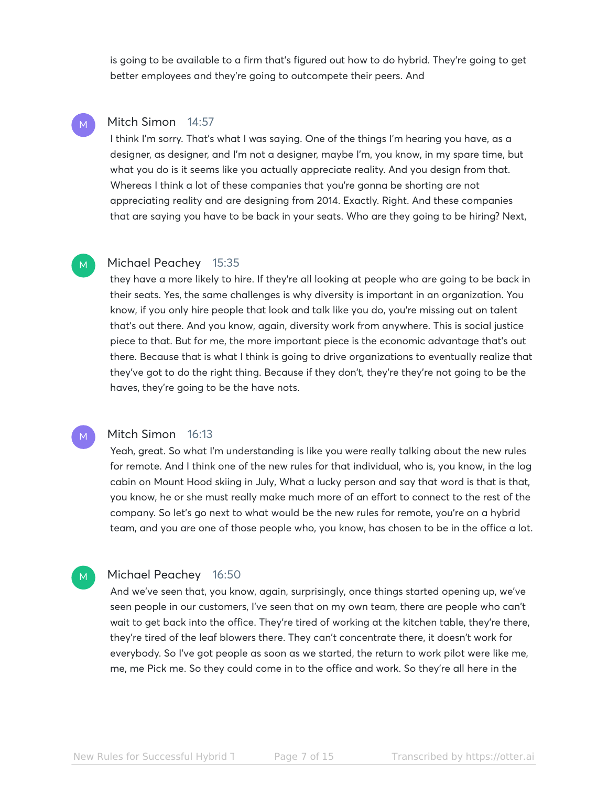is going to be available to a firm that's figured out how to do hybrid. They're going to get better employees and they're going to outcompete their peers. And

# Mitch Simon 14:57

M

M

M

M

I think I'm sorry. That's what I was saying. One of the things I'm hearing you have, as a designer, as designer, and I'm not a designer, maybe I'm, you know, in my spare time, but what you do is it seems like you actually appreciate reality. And you design from that. Whereas I think a lot of these companies that you're gonna be shorting are not appreciating reality and are designing from 2014. Exactly. Right. And these companies that are saying you have to be back in your seats. Who are they going to be hiring? Next,

### Michael Peachey 15:35

they have a more likely to hire. If they're all looking at people who are going to be back in their seats. Yes, the same challenges is why diversity is important in an organization. You know, if you only hire people that look and talk like you do, you're missing out on talent that's out there. And you know, again, diversity work from anywhere. This is social justice piece to that. But for me, the more important piece is the economic advantage that's out there. Because that is what I think is going to drive organizations to eventually realize that they've got to do the right thing. Because if they don't, they're they're not going to be the haves, they're going to be the have nots.

# Mitch Simon 16:13

Yeah, great. So what I'm understanding is like you were really talking about the new rules for remote. And I think one of the new rules for that individual, who is, you know, in the log cabin on Mount Hood skiing in July, What a lucky person and say that word is that is that, you know, he or she must really make much more of an effort to connect to the rest of the company. So let's go next to what would be the new rules for remote, you're on a hybrid team, and you are one of those people who, you know, has chosen to be in the office a lot.

# Michael Peachey 16:50

And we've seen that, you know, again, surprisingly, once things started opening up, we've seen people in our customers, I've seen that on my own team, there are people who can't wait to get back into the office. They're tired of working at the kitchen table, they're there, they're tired of the leaf blowers there. They can't concentrate there, it doesn't work for everybody. So I've got people as soon as we started, the return to work pilot were like me, me, me Pick me. So they could come in to the office and work. So they're all here in the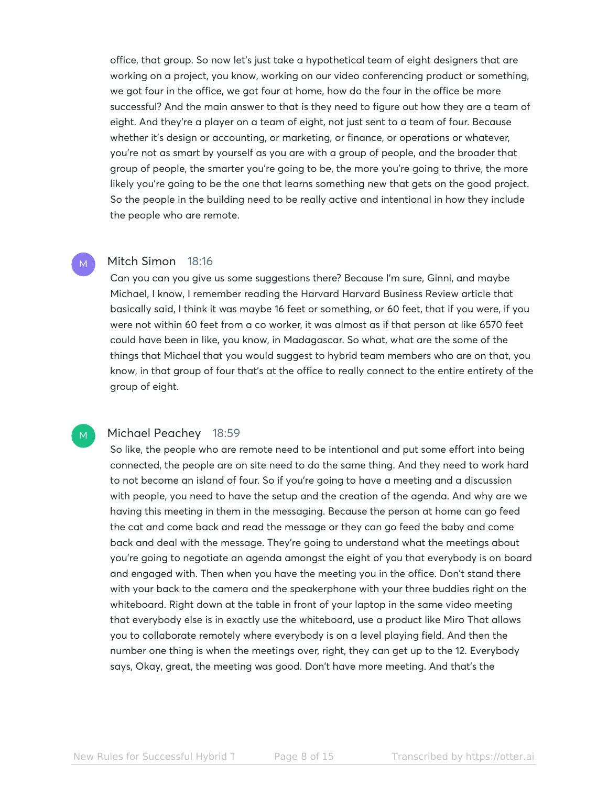office, that group. So now let's just take a hypothetical team of eight designers that are working on a project, you know, working on our video conferencing product or something, we got four in the office, we got four at home, how do the four in the office be more successful? And the main answer to that is they need to figure out how they are a team of eight. And they're a player on a team of eight, not just sent to a team of four. Because whether it's design or accounting, or marketing, or finance, or operations or whatever, you're not as smart by yourself as you are with a group of people, and the broader that group of people, the smarter you're going to be, the more you're going to thrive, the more likely you're going to be the one that learns something new that gets on the good project. So the people in the building need to be really active and intentional in how they include the people who are remote.

# Mitch Simon 18:16

M

M

Can you can you give us some suggestions there? Because I'm sure, Ginni, and maybe Michael, I know, I remember reading the Harvard Harvard Business Review article that basically said, I think it was maybe 16 feet or something, or 60 feet, that if you were, if you were not within 60 feet from a co worker, it was almost as if that person at like 6570 feet could have been in like, you know, in Madagascar. So what, what are the some of the things that Michael that you would suggest to hybrid team members who are on that, you know, in that group of four that's at the office to really connect to the entire entirety of the group of eight.

### Michael Peachey 18:59

So like, the people who are remote need to be intentional and put some effort into being connected, the people are on site need to do the same thing. And they need to work hard to not become an island of four. So if you're going to have a meeting and a discussion with people, you need to have the setup and the creation of the agenda. And why are we having this meeting in them in the messaging. Because the person at home can go feed the cat and come back and read the message or they can go feed the baby and come back and deal with the message. They're going to understand what the meetings about you're going to negotiate an agenda amongst the eight of you that everybody is on board and engaged with. Then when you have the meeting you in the office. Don't stand there with your back to the camera and the speakerphone with your three buddies right on the whiteboard. Right down at the table in front of your laptop in the same video meeting that everybody else is in exactly use the whiteboard, use a product like Miro That allows you to collaborate remotely where everybody is on a level playing field. And then the number one thing is when the meetings over, right, they can get up to the 12. Everybody says, Okay, great, the meeting was good. Don't have more meeting. And that's the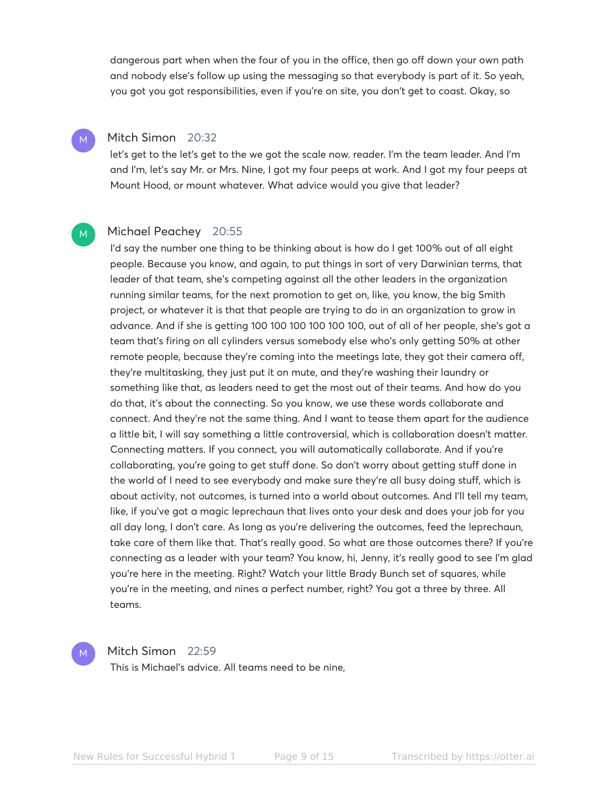dangerous part when when the four of you in the office, then go off down your own path and nobody else's follow up using the messaging so that everybody is part of it. So yeah, you got you got responsibilities, even if you're on site, you don't get to coast. Okay, so

# Mitch Simon 20:32

M

M

let's get to the let's get to the we got the scale now. reader. I'm the team leader. And I'm and I'm, let's say Mr. or Mrs. Nine, I got my four peeps at work. And I got my four peeps at Mount Hood, or mount whatever. What advice would you give that leader?

# Michael Peachey 20:55

I'd say the number one thing to be thinking about is how do I get 100% out of all eight people. Because you know, and again, to put things in sort of very Darwinian terms, that leader of that team, she's competing against all the other leaders in the organization running similar teams, for the next promotion to get on, like, you know, the big Smith project, or whatever it is that that people are trying to do in an organization to grow in advance. And if she is getting 100 100 100 100 100 100, out of all of her people, she's got a team that's firing on all cylinders versus somebody else who's only getting 50% at other remote people, because they're coming into the meetings late, they got their camera off, they're multitasking, they just put it on mute, and they're washing their laundry or something like that, as leaders need to get the most out of their teams. And how do you do that, it's about the connecting. So you know, we use these words collaborate and connect. And they're not the same thing. And I want to tease them apart for the audience a little bit, I will say something a little controversial, which is collaboration doesn't matter. Connecting matters. If you connect, you will automatically collaborate. And if you're collaborating, you're going to get stuff done. So don't worry about getting stuff done in the world of I need to see everybody and make sure they're all busy doing stuff, which is about activity, not outcomes, is turned into a world about outcomes. And I'll tell my team, like, if you've got a magic leprechaun that lives onto your desk and does your job for you all day long, I don't care. As long as you're delivering the outcomes, feed the leprechaun, take care of them like that. That's really good. So what are those outcomes there? If you're connecting as a leader with your team? You know, hi, Jenny, it's really good to see I'm glad you're here in the meeting. Right? Watch your little Brady Bunch set of squares, while you're in the meeting, and nines a perfect number, right? You got a three by three. All teams.



# Mitch Simon 22:59

This is Michael's advice. All teams need to be nine,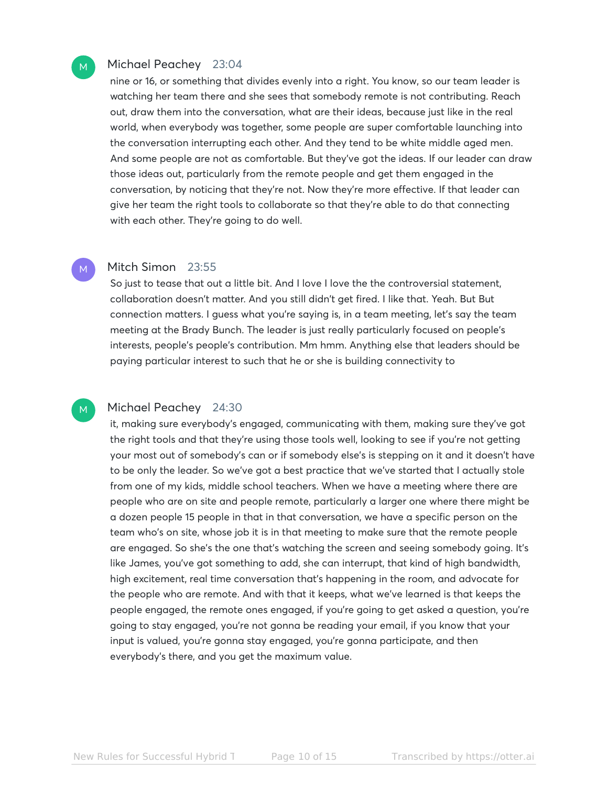# Michael Peachey 23:04

M

M

nine or 16, or something that divides evenly into a right. You know, so our team leader is watching her team there and she sees that somebody remote is not contributing. Reach out, draw them into the conversation, what are their ideas, because just like in the real world, when everybody was together, some people are super comfortable launching into the conversation interrupting each other. And they tend to be white middle aged men. And some people are not as comfortable. But they've got the ideas. If our leader can draw those ideas out, particularly from the remote people and get them engaged in the conversation, by noticing that they're not. Now they're more effective. If that leader can give her team the right tools to collaborate so that they're able to do that connecting with each other. They're going to do well.

# Mitch Simon 23:55

So just to tease that out a little bit. And I love I love the the controversial statement, collaboration doesn't matter. And you still didn't get fired. I like that. Yeah. But But connection matters. I guess what you're saying is, in a team meeting, let's say the team meeting at the Brady Bunch. The leader is just really particularly focused on people's interests, people's people's contribution. Mm hmm. Anything else that leaders should be paying particular interest to such that he or she is building connectivity to

#### Michael Peachey 24:30 M

it, making sure everybody's engaged, communicating with them, making sure they've got the right tools and that they're using those tools well, looking to see if you're not getting your most out of somebody's can or if somebody else's is stepping on it and it doesn't have to be only the leader. So we've got a best practice that we've started that I actually stole from one of my kids, middle school teachers. When we have a meeting where there are people who are on site and people remote, particularly a larger one where there might be a dozen people 15 people in that in that conversation, we have a specific person on the team who's on site, whose job it is in that meeting to make sure that the remote people are engaged. So she's the one that's watching the screen and seeing somebody going. It's like James, you've got something to add, she can interrupt, that kind of high bandwidth, high excitement, real time conversation that's happening in the room, and advocate for the people who are remote. And with that it keeps, what we've learned is that keeps the people engaged, the remote ones engaged, if you're going to get asked a question, you're going to stay engaged, you're not gonna be reading your email, if you know that your input is valued, you're gonna stay engaged, you're gonna participate, and then everybody's there, and you get the maximum value.

New Rules for Successful Hybrid Teams Page 10 of 15 Transcribed by https://otter.ai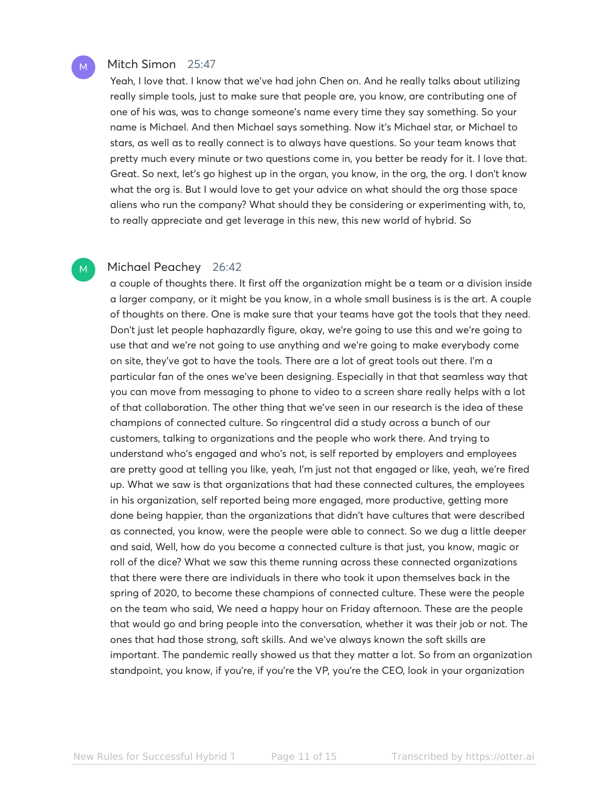# Mitch Simon 25:47

M

M

Yeah, I love that. I know that we've had john Chen on. And he really talks about utilizing really simple tools, just to make sure that people are, you know, are contributing one of one of his was, was to change someone's name every time they say something. So your name is Michael. And then Michael says something. Now it's Michael star, or Michael to stars, as well as to really connect is to always have questions. So your team knows that pretty much every minute or two questions come in, you better be ready for it. I love that. Great. So next, let's go highest up in the organ, you know, in the org, the org. I don't know what the org is. But I would love to get your advice on what should the org those space aliens who run the company? What should they be considering or experimenting with, to, to really appreciate and get leverage in this new, this new world of hybrid. So

# Michael Peachey 26:42

a couple of thoughts there. It first off the organization might be a team or a division inside a larger company, or it might be you know, in a whole small business is is the art. A couple of thoughts on there. One is make sure that your teams have got the tools that they need. Don't just let people haphazardly figure, okay, we're going to use this and we're going to use that and we're not going to use anything and we're going to make everybody come on site, they've got to have the tools. There are a lot of great tools out there. I'm a particular fan of the ones we've been designing. Especially in that that seamless way that you can move from messaging to phone to video to a screen share really helps with a lot of that collaboration. The other thing that we've seen in our research is the idea of these champions of connected culture. So ringcentral did a study across a bunch of our customers, talking to organizations and the people who work there. And trying to understand who's engaged and who's not, is self reported by employers and employees are pretty good at telling you like, yeah, I'm just not that engaged or like, yeah, we're fired up. What we saw is that organizations that had these connected cultures, the employees in his organization, self reported being more engaged, more productive, getting more done being happier, than the organizations that didn't have cultures that were described as connected, you know, were the people were able to connect. So we dug a little deeper and said, Well, how do you become a connected culture is that just, you know, magic or roll of the dice? What we saw this theme running across these connected organizations that there were there are individuals in there who took it upon themselves back in the spring of 2020, to become these champions of connected culture. These were the people on the team who said, We need a happy hour on Friday afternoon. These are the people that would go and bring people into the conversation, whether it was their job or not. The ones that had those strong, soft skills. And we've always known the soft skills are important. The pandemic really showed us that they matter a lot. So from an organization standpoint, you know, if you're, if you're the VP, you're the CEO, look in your organization

New Rules for Successful Hybrid Teams Page 11 of 15 Transcribed by https://otter.ai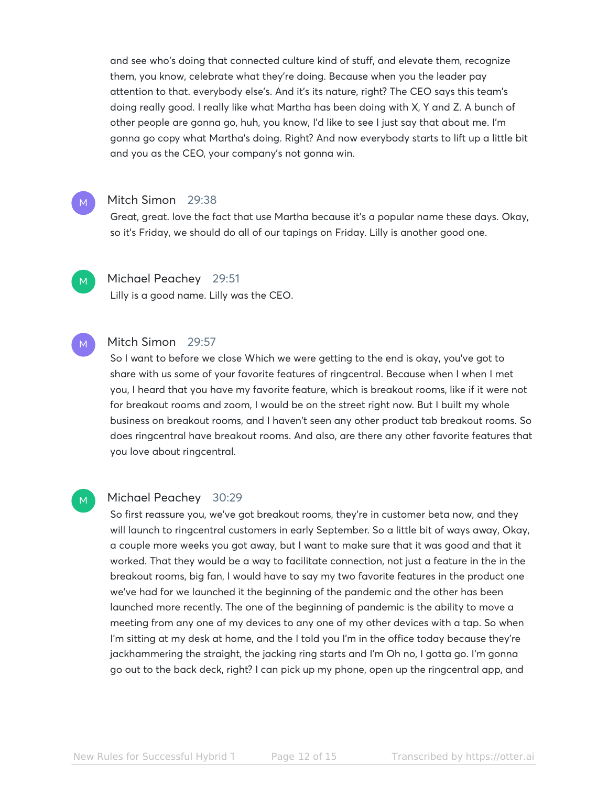and see who's doing that connected culture kind of stuff, and elevate them, recognize them, you know, celebrate what they're doing. Because when you the leader pay attention to that. everybody else's. And it's its nature, right? The CEO says this team's doing really good. I really like what Martha has been doing with X, Y and Z. A bunch of other people are gonna go, huh, you know, I'd like to see I just say that about me. I'm gonna go copy what Martha's doing. Right? And now everybody starts to lift up a little bit and you as the CEO, your company's not gonna win.

### Mitch Simon 29:38

Great, great. love the fact that use Martha because it's a popular name these days. Okay, so it's Friday, we should do all of our tapings on Friday. Lilly is another good one.



M

# Michael Peachey 29:51

Lilly is a good name. Lilly was the CEO.

#### Mitch Simon 29:57 M

So I want to before we close Which we were getting to the end is okay, you've got to share with us some of your favorite features of ringcentral. Because when I when I met you, I heard that you have my favorite feature, which is breakout rooms, like if it were not for breakout rooms and zoom, I would be on the street right now. But I built my whole business on breakout rooms, and I haven't seen any other product tab breakout rooms. So does ringcentral have breakout rooms. And also, are there any other favorite features that you love about ringcentral.

#### Michael Peachey 30:29 M

So first reassure you, we've got breakout rooms, they're in customer beta now, and they will launch to ringcentral customers in early September. So a little bit of ways away, Okay, a couple more weeks you got away, but I want to make sure that it was good and that it worked. That they would be a way to facilitate connection, not just a feature in the in the breakout rooms, big fan, I would have to say my two favorite features in the product one we've had for we launched it the beginning of the pandemic and the other has been launched more recently. The one of the beginning of pandemic is the ability to move a meeting from any one of my devices to any one of my other devices with a tap. So when I'm sitting at my desk at home, and the I told you I'm in the office today because they're jackhammering the straight, the jacking ring starts and I'm Oh no, I gotta go. I'm gonna go out to the back deck, right? I can pick up my phone, open up the ringcentral app, and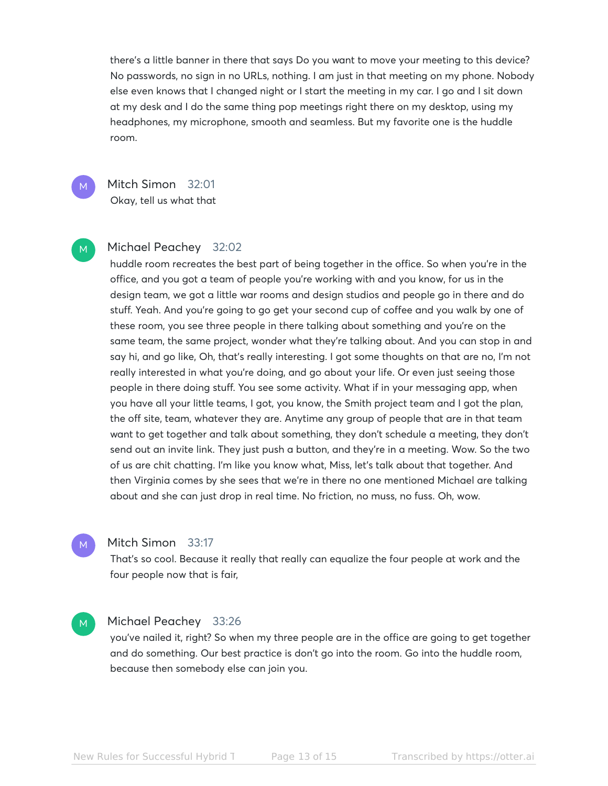there's a little banner in there that says Do you want to move your meeting to this device? No passwords, no sign in no URLs, nothing. I am just in that meeting on my phone. Nobody else even knows that I changed night or I start the meeting in my car. I go and I sit down at my desk and I do the same thing pop meetings right there on my desktop, using my headphones, my microphone, smooth and seamless. But my favorite one is the huddle room.

M

M

M

Mitch Simon 32:01 Okay, tell us what that

# Michael Peachey 32:02

huddle room recreates the best part of being together in the office. So when you're in the office, and you got a team of people you're working with and you know, for us in the design team, we got a little war rooms and design studios and people go in there and do stuff. Yeah. And you're going to go get your second cup of coffee and you walk by one of these room, you see three people in there talking about something and you're on the same team, the same project, wonder what they're talking about. And you can stop in and say hi, and go like, Oh, that's really interesting. I got some thoughts on that are no, I'm not really interested in what you're doing, and go about your life. Or even just seeing those people in there doing stuff. You see some activity. What if in your messaging app, when you have all your little teams, I got, you know, the Smith project team and I got the plan, the off site, team, whatever they are. Anytime any group of people that are in that team want to get together and talk about something, they don't schedule a meeting, they don't send out an invite link. They just push a button, and they're in a meeting. Wow. So the two of us are chit chatting. I'm like you know what, Miss, let's talk about that together. And then Virginia comes by she sees that we're in there no one mentioned Michael are talking about and she can just drop in real time. No friction, no muss, no fuss. Oh, wow.

### Mitch Simon 33:17

That's so cool. Because it really that really can equalize the four people at work and the four people now that is fair,

#### Michael Peachey 33:26 M

you've nailed it, right? So when my three people are in the office are going to get together and do something. Our best practice is don't go into the room. Go into the huddle room, because then somebody else can join you.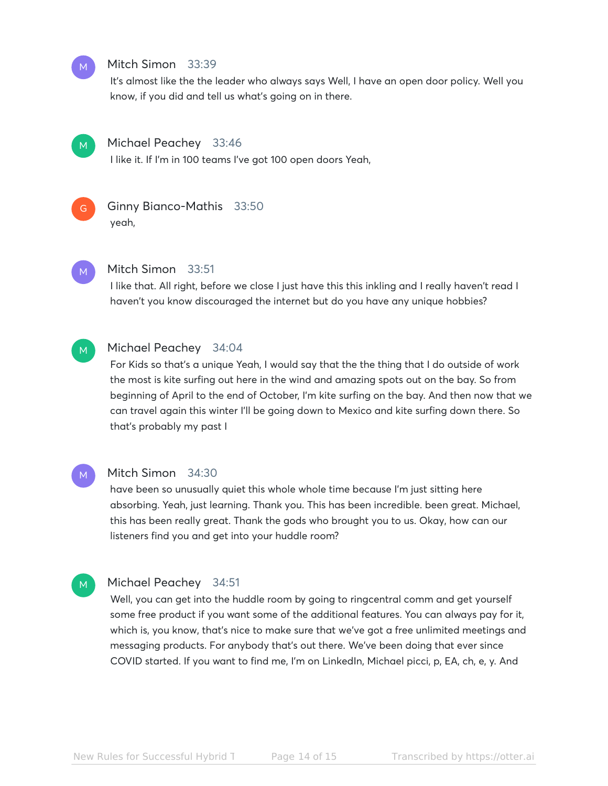# Mitch Simon 33:39

It's almost like the the leader who always says Well, I have an open door policy. Well you know, if you did and tell us what's going on in there.



M

### Michael Peachey 33:46

I like it. If I'm in 100 teams I've got 100 open doors Yeah,



# Ginny Bianco-Mathis 33:50 yeah,

M

### Mitch Simon 33:51

I like that. All right, before we close I just have this this inkling and I really haven't read I haven't you know discouraged the internet but do you have any unique hobbies?

#### Michael Peachey 34:04 M

For Kids so that's a unique Yeah, I would say that the the thing that I do outside of work the most is kite surfing out here in the wind and amazing spots out on the bay. So from beginning of April to the end of October, I'm kite surfing on the bay. And then now that we can travel again this winter I'll be going down to Mexico and kite surfing down there. So that's probably my past I



M

#### Mitch Simon 34:30

have been so unusually quiet this whole whole time because I'm just sitting here absorbing. Yeah, just learning. Thank you. This has been incredible. been great. Michael, this has been really great. Thank the gods who brought you to us. Okay, how can our listeners find you and get into your huddle room?

# Michael Peachey 34:51

Well, you can get into the huddle room by going to ringcentral comm and get yourself some free product if you want some of the additional features. You can always pay for it, which is, you know, that's nice to make sure that we've got a free unlimited meetings and messaging products. For anybody that's out there. We've been doing that ever since COVID started. If you want to find me, I'm on LinkedIn, Michael picci, p, EA, ch, e, y. And